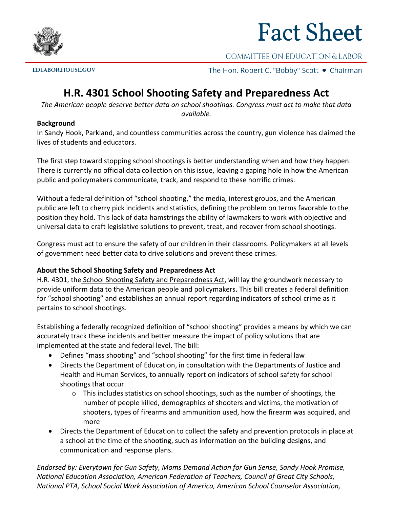

## **Fact Sheet**

COMMITTEE ON EDUCATION & LABOR

**EDLABOR.HOUSE.GOV** 

The Hon. Robert C. "Bobby" Scott . Chairman

## **H.R. 4301 School Shooting Safety and Preparedness Act**

*The American people deserve better data on school shootings. Congress must act to make that data available.*

## **Background**

In Sandy Hook, Parkland, and countless communities across the country, gun violence has claimed the lives of students and educators.

The first step toward stopping school shootings is better understanding when and how they happen. There is currently no official data collection on this issue, leaving a gaping hole in how the American public and policymakers communicate, track, and respond to these horrific crimes.

Without a federal definition of "school shooting," the media, interest groups, and the American public are left to cherry pick incidents and statistics, defining the problem on terms favorable to the position they hold. This lack of data hamstrings the ability of lawmakers to work with objective and universal data to craft legislative solutions to prevent, treat, and recover from school shootings.

Congress must act to ensure the safety of our children in their classrooms. Policymakers at all levels of government need better data to drive solutions and prevent these crimes.

## **About the School Shooting Safety and Preparedness Act**

H.R. 4301, the School Shooting Safety and Preparedness Act, will lay the groundwork necessary to provide uniform data to the American people and policymakers. This bill creates a federal definition for "school shooting" and establishes an annual report regarding indicators of school crime as it pertains to school shootings.

Establishing a federally recognized definition of "school shooting" provides a means by which we can accurately track these incidents and better measure the impact of policy solutions that are implemented at the state and federal level. The bill:

- Defines "mass shooting" and "school shooting" for the first time in federal law
- Directs the Department of Education, in consultation with the Departments of Justice and Health and Human Services, to annually report on indicators of school safety for school shootings that occur.
	- $\circ$  This includes statistics on school shootings, such as the number of shootings, the number of people killed, demographics of shooters and victims, the motivation of shooters, types of firearms and ammunition used, how the firearm was acquired, and more
- Directs the Department of Education to collect the safety and prevention protocols in place at a school at the time of the shooting, such as information on the building designs, and communication and response plans.

*Endorsed by: Everytown for Gun Safety, Moms Demand Action for Gun Sense, Sandy Hook Promise, National Education Association, American Federation of Teachers, Council of Great City Schools, National PTA, School Social Work Association of America, American School Counselor Association,*